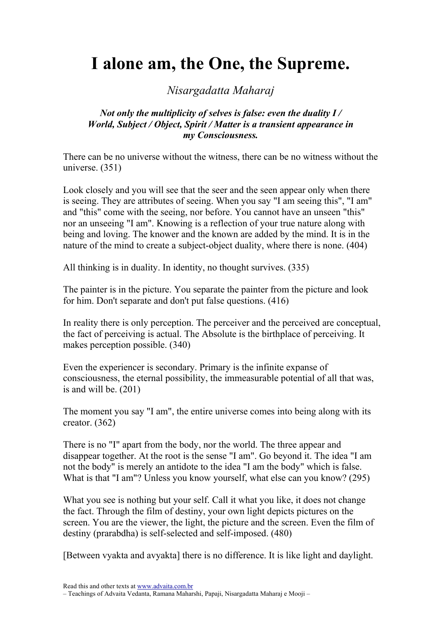# I alone am, the One, the Supreme.

# Nisargadatta Maharaj

#### Not only the multiplicity of selves is false: even the duality I / World, Subject / Object, Spirit / Matter is a transient appearance in my Consciousness.

There can be no universe without the witness, there can be no witness without the universe. (351)

Look closely and you will see that the seer and the seen appear only when there is seeing. They are attributes of seeing. When you say "I am seeing this", "I am" and "this" come with the seeing, nor before. You cannot have an unseen "this" nor an unseeing "I am". Knowing is a reflection of your true nature along with being and loving. The knower and the known are added by the mind. It is in the nature of the mind to create a subject-object duality, where there is none. (404)

All thinking is in duality. In identity, no thought survives. (335)

The painter is in the picture. You separate the painter from the picture and look for him. Don't separate and don't put false questions. (416)

In reality there is only perception. The perceiver and the perceived are conceptual, the fact of perceiving is actual. The Absolute is the birthplace of perceiving. It makes perception possible. (340)

Even the experiencer is secondary. Primary is the infinite expanse of consciousness, the eternal possibility, the immeasurable potential of all that was, is and will be. (201)

The moment you say "I am", the entire universe comes into being along with its creator. (362)

There is no "I" apart from the body, nor the world. The three appear and disappear together. At the root is the sense "I am". Go beyond it. The idea "I am not the body" is merely an antidote to the idea "I am the body" which is false. What is that "I am"? Unless you know yourself, what else can you know? (295)

What you see is nothing but your self. Call it what you like, it does not change the fact. Through the film of destiny, your own light depicts pictures on the screen. You are the viewer, the light, the picture and the screen. Even the film of destiny (prarabdha) is self-selected and self-imposed. (480)

[Between vyakta and avyakta] there is no difference. It is like light and daylight.

Read this and other texts at www.advaita.com.br – Teachings of Advaita Vedanta, Ramana Maharshi, Papaji, Nisargadatta Maharaj e Mooji –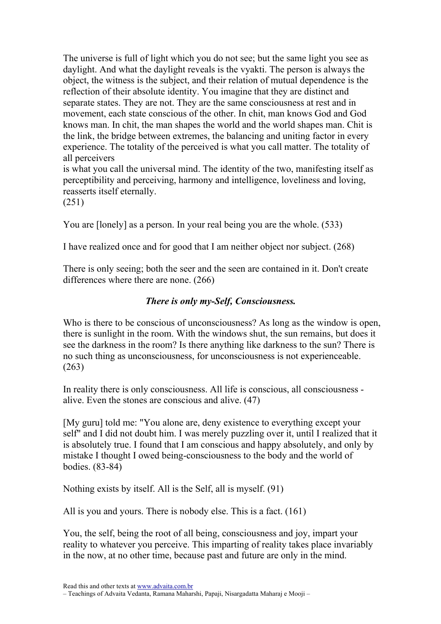The universe is full of light which you do not see; but the same light you see as daylight. And what the daylight reveals is the vyakti. The person is always the object, the witness is the subject, and their relation of mutual dependence is the reflection of their absolute identity. You imagine that they are distinct and separate states. They are not. They are the same consciousness at rest and in movement, each state conscious of the other. In chit, man knows God and God knows man. In chit, the man shapes the world and the world shapes man. Chit is the link, the bridge between extremes, the balancing and uniting factor in every experience. The totality of the perceived is what you call matter. The totality of all perceivers

is what you call the universal mind. The identity of the two, manifesting itself as perceptibility and perceiving, harmony and intelligence, loveliness and loving, reasserts itself eternally.

(251)

You are [lonely] as a person. In your real being you are the whole. (533)

I have realized once and for good that I am neither object nor subject. (268)

There is only seeing; both the seer and the seen are contained in it. Don't create differences where there are none. (266)

## There is only my-Self, Consciousness.

Who is there to be conscious of unconsciousness? As long as the window is open, there is sunlight in the room. With the windows shut, the sun remains, but does it see the darkness in the room? Is there anything like darkness to the sun? There is no such thing as unconsciousness, for unconsciousness is not experienceable. (263)

In reality there is only consciousness. All life is conscious, all consciousness alive. Even the stones are conscious and alive. (47)

[My guru] told me: "You alone are, deny existence to everything except your self" and I did not doubt him. I was merely puzzling over it, until I realized that it is absolutely true. I found that I am conscious and happy absolutely, and only by mistake I thought I owed being-consciousness to the body and the world of bodies. (83-84)

Nothing exists by itself. All is the Self, all is myself. (91)

All is you and yours. There is nobody else. This is a fact. (161)

You, the self, being the root of all being, consciousness and joy, impart your reality to whatever you perceive. This imparting of reality takes place invariably in the now, at no other time, because past and future are only in the mind.

Read this and other texts at www.advaita.com.br

<sup>–</sup> Teachings of Advaita Vedanta, Ramana Maharshi, Papaji, Nisargadatta Maharaj e Mooji –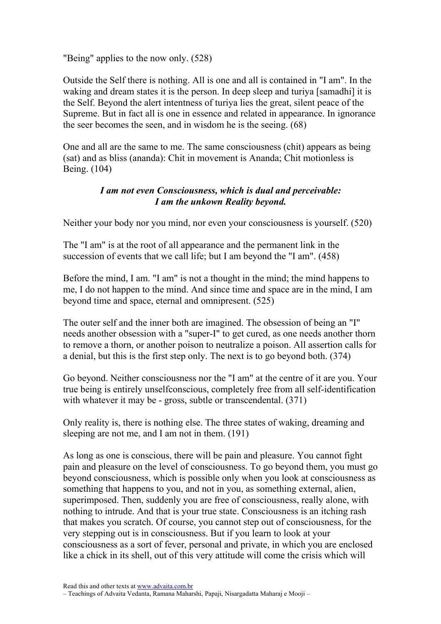"Being" applies to the now only. (528)

Outside the Self there is nothing. All is one and all is contained in "I am". In the waking and dream states it is the person. In deep sleep and turiya [samadhi] it is the Self. Beyond the alert intentness of turiya lies the great, silent peace of the Supreme. But in fact all is one in essence and related in appearance. In ignorance the seer becomes the seen, and in wisdom he is the seeing. (68)

One and all are the same to me. The same consciousness (chit) appears as being (sat) and as bliss (ananda): Chit in movement is Ananda; Chit motionless is Being. (104)

#### I am not even Consciousness, which is dual and perceivable: I am the unkown Reality beyond.

Neither your body nor you mind, nor even your consciousness is yourself. (520)

The "I am" is at the root of all appearance and the permanent link in the succession of events that we call life; but I am beyond the "I am". (458)

Before the mind, I am. "I am" is not a thought in the mind; the mind happens to me, I do not happen to the mind. And since time and space are in the mind, I am beyond time and space, eternal and omnipresent. (525)

The outer self and the inner both are imagined. The obsession of being an "I" needs another obsession with a "super-I" to get cured, as one needs another thorn to remove a thorn, or another poison to neutralize a poison. All assertion calls for a denial, but this is the first step only. The next is to go beyond both. (374)

Go beyond. Neither consciousness nor the "I am" at the centre of it are you. Your true being is entirely unselfconscious, completely free from all self-identification with whatever it may be - gross, subtle or transcendental. (371)

Only reality is, there is nothing else. The three states of waking, dreaming and sleeping are not me, and I am not in them. (191)

As long as one is conscious, there will be pain and pleasure. You cannot fight pain and pleasure on the level of consciousness. To go beyond them, you must go beyond consciousness, which is possible only when you look at consciousness as something that happens to you, and not in you, as something external, alien, superimposed. Then, suddenly you are free of consciousness, really alone, with nothing to intrude. And that is your true state. Consciousness is an itching rash that makes you scratch. Of course, you cannot step out of consciousness, for the very stepping out is in consciousness. But if you learn to look at your consciousness as a sort of fever, personal and private, in which you are enclosed like a chick in its shell, out of this very attitude will come the crisis which will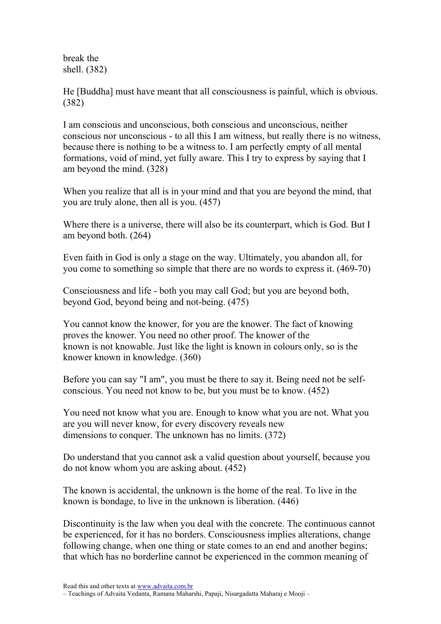break the shell. (382)

He [Buddha] must have meant that all consciousness is painful, which is obvious. (382)

I am conscious and unconscious, both conscious and unconscious, neither conscious nor unconscious - to all this I am witness, but really there is no witness, because there is nothing to be a witness to. I am perfectly empty of all mental formations, void of mind, yet fully aware. This I try to express by saying that I am beyond the mind. (328)

When you realize that all is in your mind and that you are beyond the mind, that you are truly alone, then all is you. (457)

Where there is a universe, there will also be its counterpart, which is God. But I am beyond both. (264)

Even faith in God is only a stage on the way. Ultimately, you abandon all, for you come to something so simple that there are no words to express it. (469-70)

Consciousness and life - both you may call God; but you are beyond both, beyond God, beyond being and not-being. (475)

You cannot know the knower, for you are the knower. The fact of knowing proves the knower. You need no other proof. The knower of the known is not knowable. Just like the light is known in colours only, so is the knower known in knowledge. (360)

Before you can say "I am", you must be there to say it. Being need not be selfconscious. You need not know to be, but you must be to know. (452)

You need not know what you are. Enough to know what you are not. What you are you will never know, for every discovery reveals new dimensions to conquer. The unknown has no limits. (372)

Do understand that you cannot ask a valid question about yourself, because you do not know whom you are asking about. (452)

The known is accidental, the unknown is the home of the real. To live in the known is bondage, to live in the unknown is liberation. (446)

Discontinuity is the law when you deal with the concrete. The continuous cannot be experienced, for it has no borders. Consciousness implies alterations, change following change, when one thing or state comes to an end and another begins; that which has no borderline cannot be experienced in the common meaning of

Read this and other texts at www.advaita.com.br

– Teachings of Advaita Vedanta, Ramana Maharshi, Papaji, Nisargadatta Maharaj e Mooji –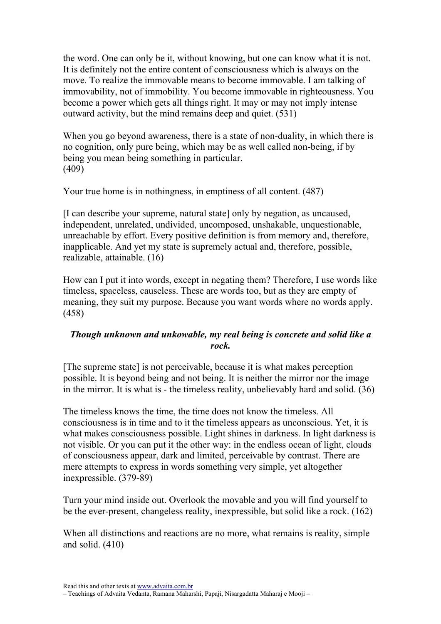the word. One can only be it, without knowing, but one can know what it is not. It is definitely not the entire content of consciousness which is always on the move. To realize the immovable means to become immovable. I am talking of immovability, not of immobility. You become immovable in righteousness. You become a power which gets all things right. It may or may not imply intense outward activity, but the mind remains deep and quiet. (531)

When you go beyond awareness, there is a state of non-duality, in which there is no cognition, only pure being, which may be as well called non-being, if by being you mean being something in particular. (409)

Your true home is in nothingness, in emptiness of all content. (487)

[I can describe your supreme, natural state] only by negation, as uncaused, independent, unrelated, undivided, uncomposed, unshakable, unquestionable, unreachable by effort. Every positive definition is from memory and, therefore, inapplicable. And yet my state is supremely actual and, therefore, possible, realizable, attainable. (16)

How can I put it into words, except in negating them? Therefore, I use words like timeless, spaceless, causeless. These are words too, but as they are empty of meaning, they suit my purpose. Because you want words where no words apply. (458)

## Though unknown and unkowable, my real being is concrete and solid like a rock.

[The supreme state] is not perceivable, because it is what makes perception possible. It is beyond being and not being. It is neither the mirror nor the image in the mirror. It is what is - the timeless reality, unbelievably hard and solid. (36)

The timeless knows the time, the time does not know the timeless. All consciousness is in time and to it the timeless appears as unconscious. Yet, it is what makes consciousness possible. Light shines in darkness. In light darkness is not visible. Or you can put it the other way: in the endless ocean of light, clouds of consciousness appear, dark and limited, perceivable by contrast. There are mere attempts to express in words something very simple, yet altogether inexpressible. (379-89)

Turn your mind inside out. Overlook the movable and you will find yourself to be the ever-present, changeless reality, inexpressible, but solid like a rock. (162)

When all distinctions and reactions are no more, what remains is reality, simple and solid. (410)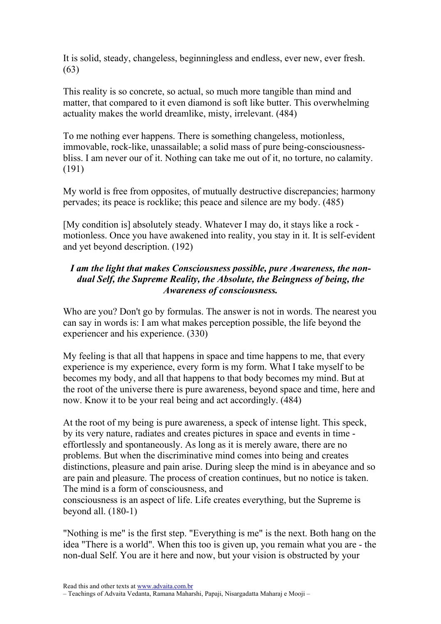It is solid, steady, changeless, beginningless and endless, ever new, ever fresh. (63)

This reality is so concrete, so actual, so much more tangible than mind and matter, that compared to it even diamond is soft like butter. This overwhelming actuality makes the world dreamlike, misty, irrelevant. (484)

To me nothing ever happens. There is something changeless, motionless, immovable, rock-like, unassailable; a solid mass of pure being-consciousnessbliss. I am never our of it. Nothing can take me out of it, no torture, no calamity. (191)

My world is free from opposites, of mutually destructive discrepancies; harmony pervades; its peace is rocklike; this peace and silence are my body. (485)

[My condition is] absolutely steady. Whatever I may do, it stays like a rock motionless. Once you have awakened into reality, you stay in it. It is self-evident and yet beyond description. (192)

## I am the light that makes Consciousness possible, pure Awareness, the nondual Self, the Supreme Reality, the Absolute, the Beingness of being, the Awareness of consciousness.

Who are you? Don't go by formulas. The answer is not in words. The nearest you can say in words is: I am what makes perception possible, the life beyond the experiencer and his experience. (330)

My feeling is that all that happens in space and time happens to me, that every experience is my experience, every form is my form. What I take myself to be becomes my body, and all that happens to that body becomes my mind. But at the root of the universe there is pure awareness, beyond space and time, here and now. Know it to be your real being and act accordingly. (484)

At the root of my being is pure awareness, a speck of intense light. This speck, by its very nature, radiates and creates pictures in space and events in time effortlessly and spontaneously. As long as it is merely aware, there are no problems. But when the discriminative mind comes into being and creates distinctions, pleasure and pain arise. During sleep the mind is in abeyance and so are pain and pleasure. The process of creation continues, but no notice is taken. The mind is a form of consciousness, and

consciousness is an aspect of life. Life creates everything, but the Supreme is beyond all. (180-1)

"Nothing is me" is the first step. "Everything is me" is the next. Both hang on the idea "There is a world". When this too is given up, you remain what you are - the non-dual Self. You are it here and now, but your vision is obstructed by your

Read this and other texts at www.advaita.com.br

– Teachings of Advaita Vedanta, Ramana Maharshi, Papaji, Nisargadatta Maharaj e Mooji –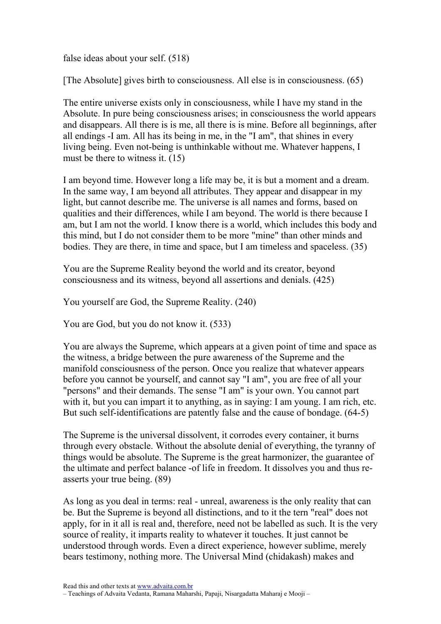false ideas about your self. (518)

[The Absolute] gives birth to consciousness. All else is in consciousness. (65)

The entire universe exists only in consciousness, while I have my stand in the Absolute. In pure being consciousness arises; in consciousness the world appears and disappears. All there is is me, all there is is mine. Before all beginnings, after all endings -I am. All has its being in me, in the "I am", that shines in every living being. Even not-being is unthinkable without me. Whatever happens, I must be there to witness it. (15)

I am beyond time. However long a life may be, it is but a moment and a dream. In the same way, I am beyond all attributes. They appear and disappear in my light, but cannot describe me. The universe is all names and forms, based on qualities and their differences, while I am beyond. The world is there because I am, but I am not the world. I know there is a world, which includes this body and this mind, but I do not consider them to be more "mine" than other minds and bodies. They are there, in time and space, but I am timeless and spaceless. (35)

You are the Supreme Reality beyond the world and its creator, beyond consciousness and its witness, beyond all assertions and denials. (425)

You yourself are God, the Supreme Reality. (240)

You are God, but you do not know it. (533)

You are always the Supreme, which appears at a given point of time and space as the witness, a bridge between the pure awareness of the Supreme and the manifold consciousness of the person. Once you realize that whatever appears before you cannot be yourself, and cannot say "I am", you are free of all your "persons" and their demands. The sense "I am" is your own. You cannot part with it, but you can impart it to anything, as in saying: I am young. I am rich, etc. But such self-identifications are patently false and the cause of bondage. (64-5)

The Supreme is the universal dissolvent, it corrodes every container, it burns through every obstacle. Without the absolute denial of everything, the tyranny of things would be absolute. The Supreme is the great harmonizer, the guarantee of the ultimate and perfect balance -of life in freedom. It dissolves you and thus reasserts your true being. (89)

As long as you deal in terms: real - unreal, awareness is the only reality that can be. But the Supreme is beyond all distinctions, and to it the tern "real" does not apply, for in it all is real and, therefore, need not be labelled as such. It is the very source of reality, it imparts reality to whatever it touches. It just cannot be understood through words. Even a direct experience, however sublime, merely bears testimony, nothing more. The Universal Mind (chidakash) makes and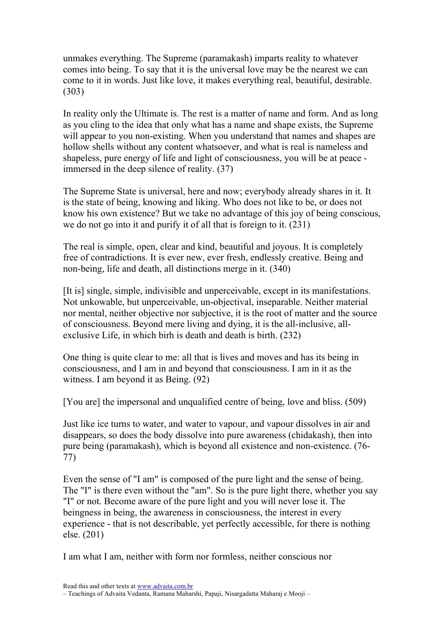unmakes everything. The Supreme (paramakash) imparts reality to whatever comes into being. To say that it is the universal love may be the nearest we can come to it in words. Just like love, it makes everything real, beautiful, desirable. (303)

In reality only the Ultimate is. The rest is a matter of name and form. And as long as you cling to the idea that only what has a name and shape exists, the Supreme will appear to you non-existing. When you understand that names and shapes are hollow shells without any content whatsoever, and what is real is nameless and shapeless, pure energy of life and light of consciousness, you will be at peace immersed in the deep silence of reality. (37)

The Supreme State is universal, here and now; everybody already shares in it. It is the state of being, knowing and liking. Who does not like to be, or does not know his own existence? But we take no advantage of this joy of being conscious, we do not go into it and purify it of all that is foreign to it. (231)

The real is simple, open, clear and kind, beautiful and joyous. It is completely free of contradictions. It is ever new, ever fresh, endlessly creative. Being and non-being, life and death, all distinctions merge in it. (340)

[It is] single, simple, indivisible and unperceivable, except in its manifestations. Not unkowable, but unperceivable, un-objectival, inseparable. Neither material nor mental, neither objective nor subjective, it is the root of matter and the source of consciousness. Beyond mere living and dying, it is the all-inclusive, allexclusive Life, in which birh is death and death is birth. (232)

One thing is quite clear to me: all that is lives and moves and has its being in consciousness, and I am in and beyond that consciousness. I am in it as the witness. I am beyond it as Being. (92)

[You are] the impersonal and unqualified centre of being, love and bliss. (509)

Just like ice turns to water, and water to vapour, and vapour dissolves in air and disappears, so does the body dissolve into pure awareness (chidakash), then into pure being (paramakash), which is beyond all existence and non-existence. (76- 77)

Even the sense of "I am" is composed of the pure light and the sense of being. The "I" is there even without the "am". So is the pure light there, whether you say "I" or not. Become aware of the pure light and you will never lose it. The beingness in being, the awareness in consciousness, the interest in every experience - that is not describable, yet perfectly accessible, for there is nothing else. (201)

I am what I am, neither with form nor formless, neither conscious nor